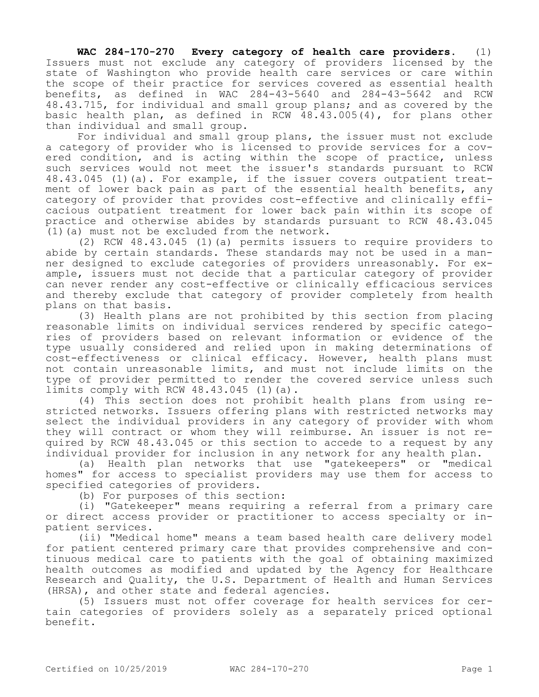**WAC 284-170-270 Every category of health care providers.** (1) Issuers must not exclude any category of providers licensed by the state of Washington who provide health care services or care within the scope of their practice for services covered as essential health benefits, as defined in WAC 284-43-5640 and 284-43-5642 and RCW 48.43.715, for individual and small group plans; and as covered by the basic health plan, as defined in RCW 48.43.005(4), for plans other than individual and small group.

For individual and small group plans, the issuer must not exclude a category of provider who is licensed to provide services for a covered condition, and is acting within the scope of practice, unless such services would not meet the issuer's standards pursuant to RCW 48.43.045 (1)(a). For example, if the issuer covers outpatient treatment of lower back pain as part of the essential health benefits, any category of provider that provides cost-effective and clinically efficacious outpatient treatment for lower back pain within its scope of practice and otherwise abides by standards pursuant to RCW 48.43.045 (1)(a) must not be excluded from the network.

(2) RCW 48.43.045 (1)(a) permits issuers to require providers to abide by certain standards. These standards may not be used in a manner designed to exclude categories of providers unreasonably. For example, issuers must not decide that a particular category of provider can never render any cost-effective or clinically efficacious services and thereby exclude that category of provider completely from health plans on that basis.

(3) Health plans are not prohibited by this section from placing reasonable limits on individual services rendered by specific categories of providers based on relevant information or evidence of the type usually considered and relied upon in making determinations of cost-effectiveness or clinical efficacy. However, health plans must not contain unreasonable limits, and must not include limits on the type of provider permitted to render the covered service unless such limits comply with RCW 48.43.045 (1)(a).

(4) This section does not prohibit health plans from using restricted networks. Issuers offering plans with restricted networks may select the individual providers in any category of provider with whom they will contract or whom they will reimburse. An issuer is not required by RCW 48.43.045 or this section to accede to a request by any individual provider for inclusion in any network for any health plan.

(a) Health plan networks that use "gatekeepers" or "medical homes" for access to specialist providers may use them for access to specified categories of providers.

(b) For purposes of this section:

(i) "Gatekeeper" means requiring a referral from a primary care or direct access provider or practitioner to access specialty or inpatient services.

(ii) "Medical home" means a team based health care delivery model for patient centered primary care that provides comprehensive and continuous medical care to patients with the goal of obtaining maximized health outcomes as modified and updated by the Agency for Healthcare Research and Quality, the U.S. Department of Health and Human Services (HRSA), and other state and federal agencies.

(5) Issuers must not offer coverage for health services for certain categories of providers solely as a separately priced optional benefit.